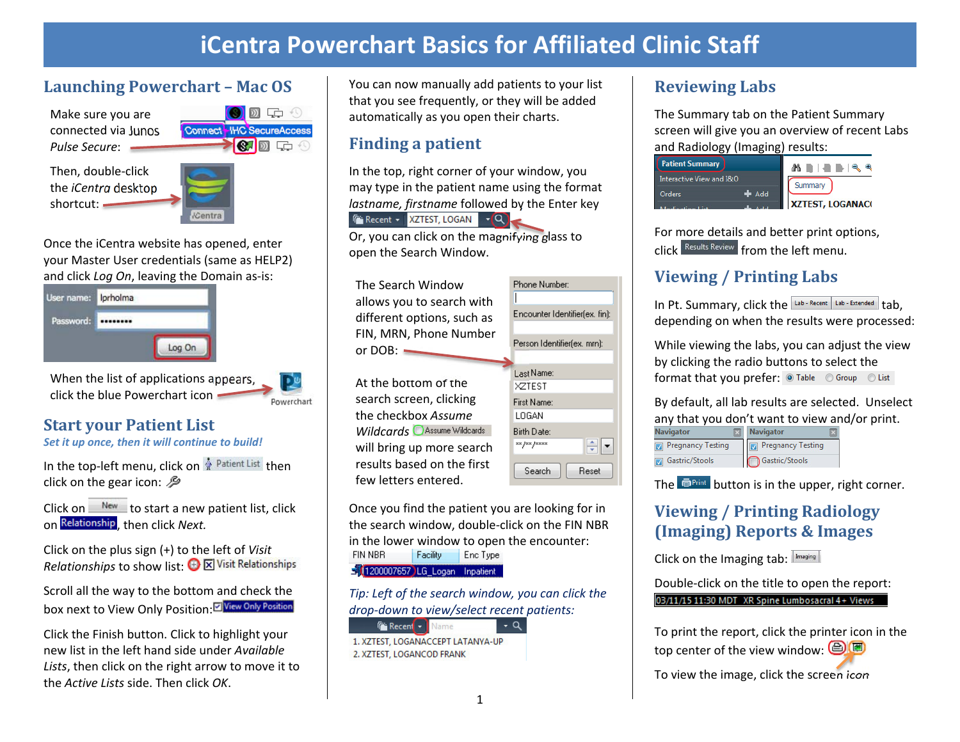## **iCentra Powerchart Basics for Affiliated Clinic Staff**

#### **Launching Powerchart – Mac OS**

Make sure you are connected via Junos *Pulse Secure*:

Then, double‐click the *iCentra* desktop shortcut: -



 $\mathcal{D}$  is the  $\mathcal{D}$ 

Powerchart

Connect<sup>-</sup>HC SecureAccess

Once the iCentra website has opened, enter your Master User credentials (same as HELP2) and click *Log On*, leaving the Domain as‐is:



When the list of applications appears, click the blue Powerchart icon

#### **Start your Patient List**

*Set it up once, then it will continue to build!* 

In the top-left menu, click on <sup>*A*</sup> Patient List</sup> then click on the gear icon:  $\mathcal{P}$ 

Click on  $\frac{N_{\text{ew}}}{N_{\text{ew}}}$  to start a new patient list, click on Relationship, then click *Next*.

Click on the plus sign (+) to the left of *Visit Relationships* to show list:  $\bigoplus \overline{\mathbb{X}}$  Visit Relationships

Scroll all the way to the bottom and check the box next to View Only Position: E View Only Position

Click the Finish button. Click to highlight your new list in the left hand side under *Available Lists*, then click on the right arrow to move it to the *Active Lists* side. Then click *OK*.

You can now manually add patients to your list that you see frequently, or they will be added automatically as you open their charts.

#### **Finding <sup>a</sup> patient**

In the top, right corner of your window, you may type in the patient name using the format *lastname, firstname* followed by the Enter key  $\mathbb{F}$  Recent  $\star$  | XZTEST, LOGAN  $\mathbb{F}(\mathsf{Q})$ 

Or, you can click on the magnifying glass to open the Search Window.



Once you find the patient you are looking for in the search window, double‐click on the FIN NBR in the lower window to open the encounter: FIN NBR Facility Enc Type 1200007657 LG\_Logan Inpatient

*Tip: Left of the search window, you can click the drop‐down to view/select recent patients:*

**Fax Recent** v Name  $-Q$ 1. XZTEST, LOGANACCEPT LATANYA-UP 2. XZTEST, LOGANCOD FRANK

#### **Reviewing Labs**

The Summary tab on the Patient Summary screen will give you an overview of recent Labs and Radiology (Imaging) results:



For more details and better print options, click Results Review from the left menu.

#### **Viewing / Printing Labs**

In Pt. Summary, click the  $\frac{1}{2}$  Lab - Recent  $\frac{1}{2}$  Lab - Extended  $\frac{1}{2}$  tab. depending on when the results were processed:

While viewing the labs, you can adjust the view by clicking the radio buttons to select the format that you prefer: Table © Group © List

By default, all lab results are selected. Unselect any that you don't want to view and/or print.

| Navigator         | <b>Navigator</b>         |
|-------------------|--------------------------|
| Pregnancy Testing | <b>Pregnancy Testing</b> |
| Gastric/Stools    | Gastric/Stools           |

The  $\blacksquare$ <sup>Print</sup> button is in the upper, right corner.

#### **Viewing / Printing Radiology (Imaging) Reports & Images**

Click on the Imaging tab: Imaging

Double‐click on the title to open the report: 03/11/15 11:30 MDT XR Spine Lumbosacral 4+ Views

To print the report, click the printer icon in the top center of the view window:  $\bigcirc$ 

To view the image, click the screen icon